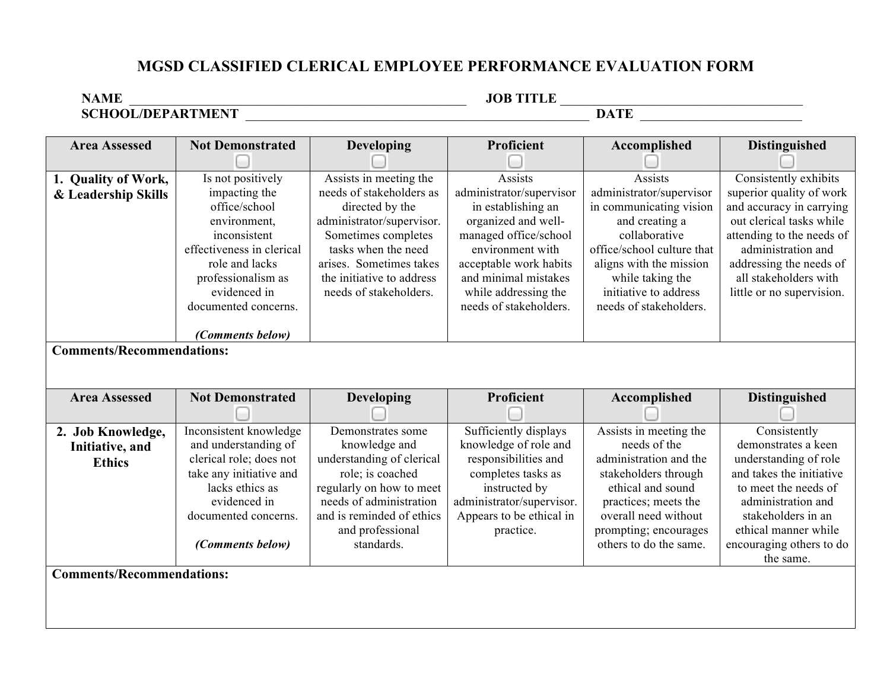## **MGSD CLASSIFIED CLERICAL EMPLOYEE PERFORMANCE EVALUATION FORM**

**NAME** \_\_\_\_\_\_\_\_\_\_\_\_\_\_\_\_\_\_\_\_\_\_\_\_\_\_\_\_\_\_\_\_\_\_\_\_\_\_\_\_\_\_\_\_\_\_\_\_\_\_ **JOB TITLE** \_\_\_\_\_\_\_\_\_\_\_\_\_\_\_\_\_\_\_\_\_\_\_\_\_\_\_\_\_\_\_\_\_\_\_\_ **SCHOOL/DEPARTMENT** \_\_\_\_\_\_\_\_\_\_\_\_\_\_\_\_\_\_\_\_\_\_\_\_\_\_\_\_\_\_\_\_\_\_\_\_\_\_\_\_\_\_\_\_\_\_\_\_\_\_\_ **DATE** \_\_\_\_\_\_\_\_\_\_\_\_\_\_\_\_\_\_\_\_\_\_\_\_

| <b>Area Assessed</b>             | <b>Not Demonstrated</b>   | <b>Developing</b>         | <b>Proficient</b>         | Accomplished               | <b>Distinguished</b>      |
|----------------------------------|---------------------------|---------------------------|---------------------------|----------------------------|---------------------------|
|                                  |                           |                           |                           |                            |                           |
| 1. Quality of Work,              | Is not positively         | Assists in meeting the    | Assists                   | Assists                    | Consistently exhibits     |
| & Leadership Skills              | impacting the             | needs of stakeholders as  | administrator/supervisor  | administrator/supervisor   | superior quality of work  |
|                                  | office/school             | directed by the           | in establishing an        | in communicating vision    | and accuracy in carrying  |
|                                  | environment,              | administrator/supervisor. | organized and well-       | and creating a             | out clerical tasks while  |
|                                  | inconsistent              | Sometimes completes       | managed office/school     | collaborative              | attending to the needs of |
|                                  | effectiveness in clerical | tasks when the need       | environment with          | office/school culture that | administration and        |
|                                  | role and lacks            | arises. Sometimes takes   | acceptable work habits    | aligns with the mission    | addressing the needs of   |
|                                  | professionalism as        | the initiative to address | and minimal mistakes      | while taking the           | all stakeholders with     |
|                                  | evidenced in              | needs of stakeholders.    | while addressing the      | initiative to address      | little or no supervision. |
|                                  | documented concerns.      |                           | needs of stakeholders.    | needs of stakeholders.     |                           |
|                                  |                           |                           |                           |                            |                           |
| <b>Comments/Recommendations:</b> | (Comments below)          |                           |                           |                            |                           |
|                                  |                           |                           |                           |                            |                           |
|                                  |                           |                           |                           |                            |                           |
| <b>Area Assessed</b>             | <b>Not Demonstrated</b>   | <b>Developing</b>         | Proficient                | Accomplished               |                           |
|                                  |                           |                           |                           |                            |                           |
|                                  |                           |                           |                           |                            | <b>Distinguished</b>      |
|                                  |                           |                           |                           |                            |                           |
| 2. Job Knowledge,                | Inconsistent knowledge    | Demonstrates some         | Sufficiently displays     | Assists in meeting the     | Consistently              |
| Initiative, and                  | and understanding of      | knowledge and             | knowledge of role and     | needs of the               | demonstrates a keen       |
| <b>Ethics</b>                    | clerical role; does not   | understanding of clerical | responsibilities and      | administration and the     | understanding of role     |
|                                  | take any initiative and   | role; is coached          | completes tasks as        | stakeholders through       | and takes the initiative  |
|                                  | lacks ethics as           | regularly on how to meet  | instructed by             | ethical and sound          | to meet the needs of      |
|                                  | evidenced in              | needs of administration   | administrator/supervisor. | practices; meets the       | administration and        |
|                                  | documented concerns.      | and is reminded of ethics | Appears to be ethical in  | overall need without       | stakeholders in an        |
|                                  |                           | and professional          | practice.                 | prompting; encourages      | ethical manner while      |
|                                  | (Comments below)          | standards.                |                           | others to do the same.     | encouraging others to do  |
|                                  |                           |                           |                           |                            | the same.                 |
| <b>Comments/Recommendations:</b> |                           |                           |                           |                            |                           |
|                                  |                           |                           |                           |                            |                           |
|                                  |                           |                           |                           |                            |                           |
|                                  |                           |                           |                           |                            |                           |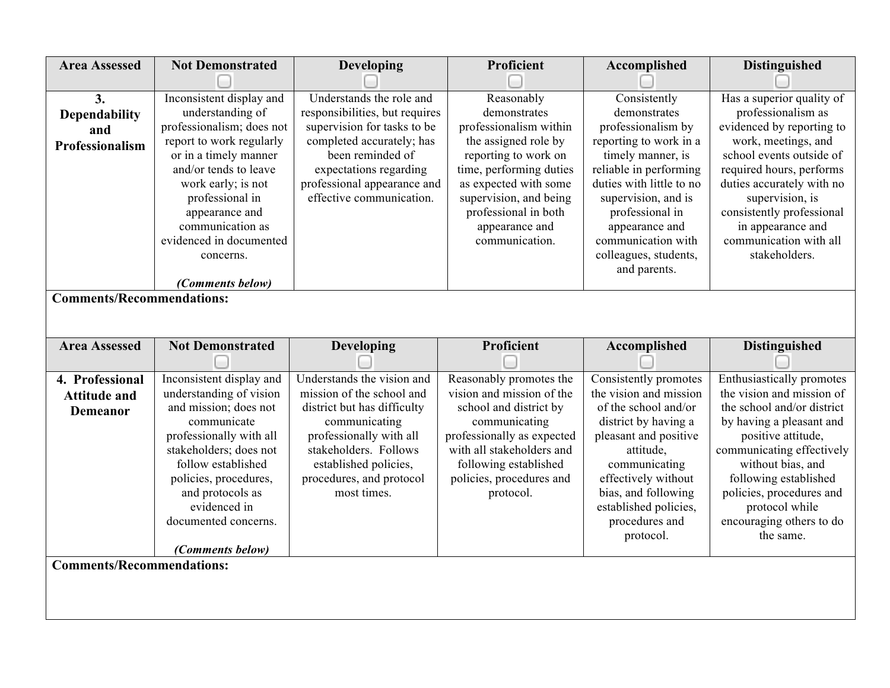| <b>Area Assessed</b>             | <b>Not Demonstrated</b>                        | <b>Developing</b>                                       | Proficient                                      | Accomplished                                       | <b>Distinguished</b>                                   |
|----------------------------------|------------------------------------------------|---------------------------------------------------------|-------------------------------------------------|----------------------------------------------------|--------------------------------------------------------|
|                                  |                                                |                                                         |                                                 |                                                    |                                                        |
| 3.                               | Inconsistent display and                       | Understands the role and                                | Reasonably                                      | Consistently                                       | Has a superior quality of                              |
| Dependability                    | understanding of                               | responsibilities, but requires                          | demonstrates                                    | demonstrates                                       | professionalism as                                     |
| and                              | professionalism; does not                      | supervision for tasks to be                             | professionalism within                          | professionalism by                                 | evidenced by reporting to                              |
| Professionalism                  | report to work regularly                       | completed accurately; has<br>been reminded of           | the assigned role by                            | reporting to work in a                             | work, meetings, and                                    |
|                                  | or in a timely manner<br>and/or tends to leave |                                                         | reporting to work on<br>time, performing duties | timely manner, is                                  | school events outside of                               |
|                                  |                                                | expectations regarding                                  |                                                 | reliable in performing<br>duties with little to no | required hours, performs                               |
|                                  | work early; is not<br>professional in          | professional appearance and<br>effective communication. | as expected with some<br>supervision, and being | supervision, and is                                | duties accurately with no<br>supervision, is           |
|                                  | appearance and                                 |                                                         | professional in both                            | professional in                                    | consistently professional                              |
|                                  | communication as                               |                                                         | appearance and                                  | appearance and                                     | in appearance and                                      |
|                                  | evidenced in documented                        |                                                         | communication.                                  | communication with                                 | communication with all                                 |
|                                  | concerns.                                      |                                                         |                                                 | colleagues, students,                              | stakeholders.                                          |
|                                  |                                                |                                                         |                                                 | and parents.                                       |                                                        |
|                                  | (Comments below)                               |                                                         |                                                 |                                                    |                                                        |
| <b>Comments/Recommendations:</b> |                                                |                                                         |                                                 |                                                    |                                                        |
|                                  |                                                |                                                         |                                                 |                                                    |                                                        |
|                                  |                                                |                                                         |                                                 |                                                    |                                                        |
|                                  |                                                |                                                         |                                                 |                                                    |                                                        |
| <b>Area Assessed</b>             | <b>Not Demonstrated</b>                        | Developing                                              | Proficient                                      | Accomplished                                       | <b>Distinguished</b>                                   |
|                                  |                                                |                                                         |                                                 |                                                    |                                                        |
| 4. Professional                  | Inconsistent display and                       | Understands the vision and                              | Reasonably promotes the                         | Consistently promotes<br>the vision and mission    | Enthusiastically promotes<br>the vision and mission of |
| <b>Attitude and</b>              | understanding of vision                        | mission of the school and                               | vision and mission of the                       |                                                    | the school and/or district                             |
| <b>Demeanor</b>                  | and mission; does not<br>communicate           | district but has difficulty                             | school and district by                          | of the school and/or                               |                                                        |
|                                  | professionally with all                        | communicating<br>professionally with all                | communicating<br>professionally as expected     | district by having a<br>pleasant and positive      | by having a pleasant and<br>positive attitude,         |
|                                  | stakeholders; does not                         | stakeholders. Follows                                   | with all stakeholders and                       | attitude,                                          | communicating effectively                              |
|                                  | follow established                             | established policies,                                   | following established                           | communicating                                      | without bias, and                                      |
|                                  | policies, procedures,                          | procedures, and protocol                                | policies, procedures and                        | effectively without                                | following established                                  |
|                                  | and protocols as                               | most times.                                             | protocol.                                       | bias, and following                                | policies, procedures and                               |
|                                  | evidenced in                                   |                                                         |                                                 | established policies,                              | protocol while                                         |
|                                  | documented concerns.                           |                                                         |                                                 | procedures and                                     | encouraging others to do                               |
|                                  |                                                |                                                         |                                                 | protocol.                                          | the same.                                              |
|                                  | (Comments below)                               |                                                         |                                                 |                                                    |                                                        |
| <b>Comments/Recommendations:</b> |                                                |                                                         |                                                 |                                                    |                                                        |
|                                  |                                                |                                                         |                                                 |                                                    |                                                        |
|                                  |                                                |                                                         |                                                 |                                                    |                                                        |